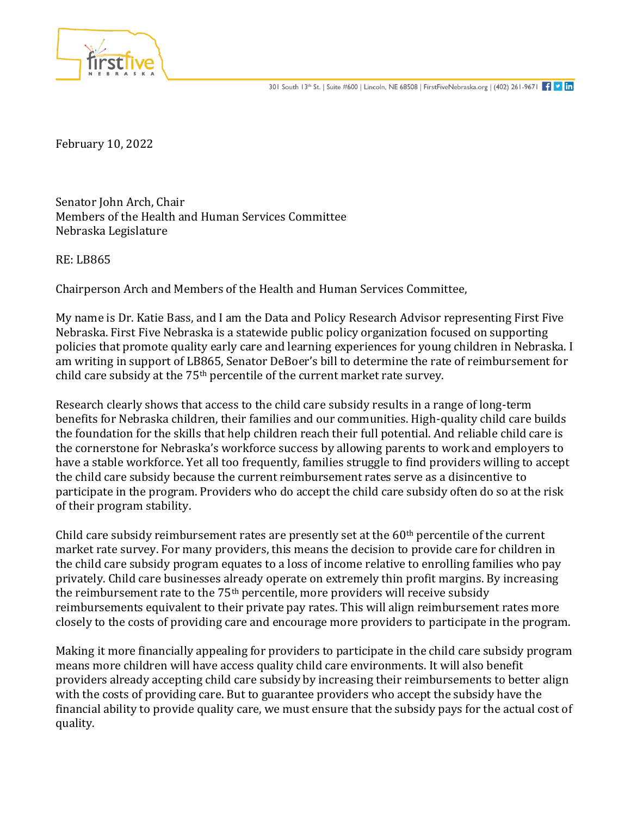

February 10, 2022

Senator John Arch, Chair Members of the Health and Human Services Committee Nebraska Legislature

RE: LB865

Chairperson Arch and Members of the Health and Human Services Committee,

My name is Dr. Katie Bass, and I am the Data and Policy Research Advisor representing First Five Nebraska. First Five Nebraska is a statewide public policy organization focused on supporting policies that promote quality early care and learning experiences for young children in Nebraska. I am writing in support of LB865, Senator DeBoer's bill to determine the rate of reimbursement for child care subsidy at the 75th percentile of the current market rate survey.

Research clearly shows that access to the child care subsidy results in a range of long-term benefits for Nebraska children, their families and our communities. High-quality child care builds the foundation for the skills that help children reach their full potential. And reliable child care is the cornerstone for Nebraska's workforce success by allowing parents to work and employers to have a stable workforce. Yet all too frequently, families struggle to find providers willing to accept the child care subsidy because the current reimbursement rates serve as a disincentive to participate in the program. Providers who do accept the child care subsidy often do so at the risk of their program stability.

Child care subsidy reimbursement rates are presently set at the  $60<sup>th</sup>$  percentile of the current market rate survey. For many providers, this means the decision to provide care for children in the child care subsidy program equates to a loss of income relative to enrolling families who pay privately. Child care businesses already operate on extremely thin profit margins. By increasing the reimbursement rate to the  $75<sup>th</sup>$  percentile, more providers will receive subsidy reimbursements equivalent to their private pay rates. This will align reimbursement rates more closely to the costs of providing care and encourage more providers to participate in the program.

Making it more financially appealing for providers to participate in the child care subsidy program means more children will have access quality child care environments. It will also benefit providers already accepting child care subsidy by increasing their reimbursements to better align with the costs of providing care. But to guarantee providers who accept the subsidy have the financial ability to provide quality care, we must ensure that the subsidy pays for the actual cost of quality.